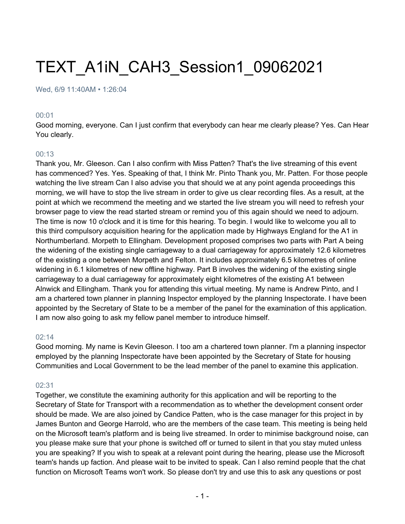# TEXT\_A1iN\_CAH3\_Session1\_09062021

#### Wed, 6/9 11:40AM • 1:26:04

#### 00:01

Good morning, everyone. Can I just confirm that everybody can hear me clearly please? Yes. Can Hear You clearly.

#### 00:13

Thank you, Mr. Gleeson. Can I also confirm with Miss Patten? That's the live streaming of this event has commenced? Yes. Yes. Speaking of that, I think Mr. Pinto Thank you, Mr. Patten. For those people watching the live stream Can I also advise you that should we at any point agenda proceedings this morning, we will have to stop the live stream in order to give us clear recording files. As a result, at the point at which we recommend the meeting and we started the live stream you will need to refresh your browser page to view the read started stream or remind you of this again should we need to adjourn. The time is now 10 o'clock and it is time for this hearing. To begin. I would like to welcome you all to this third compulsory acquisition hearing for the application made by Highways England for the A1 in Northumberland. Morpeth to Ellingham. Development proposed comprises two parts with Part A being the widening of the existing single carriageway to a dual carriageway for approximately 12.6 kilometres of the existing a one between Morpeth and Felton. It includes approximately 6.5 kilometres of online widening in 6.1 kilometres of new offline highway. Part B involves the widening of the existing single carriageway to a dual carriageway for approximately eight kilometres of the existing A1 between Alnwick and Ellingham. Thank you for attending this virtual meeting. My name is Andrew Pinto, and I am a chartered town planner in planning Inspector employed by the planning Inspectorate. I have been appointed by the Secretary of State to be a member of the panel for the examination of this application. I am now also going to ask my fellow panel member to introduce himself.

#### 02:14

Good morning. My name is Kevin Gleeson. I too am a chartered town planner. I'm a planning inspector employed by the planning Inspectorate have been appointed by the Secretary of State for housing Communities and Local Government to be the lead member of the panel to examine this application.

#### 02:31

Together, we constitute the examining authority for this application and will be reporting to the Secretary of State for Transport with a recommendation as to whether the development consent order should be made. We are also joined by Candice Patten, who is the case manager for this project in by James Bunton and George Harrold, who are the members of the case team. This meeting is being held on the Microsoft team's platform and is being live streamed. In order to minimise background noise, can you please make sure that your phone is switched off or turned to silent in that you stay muted unless you are speaking? If you wish to speak at a relevant point during the hearing, please use the Microsoft team's hands up faction. And please wait to be invited to speak. Can I also remind people that the chat function on Microsoft Teams won't work. So please don't try and use this to ask any questions or post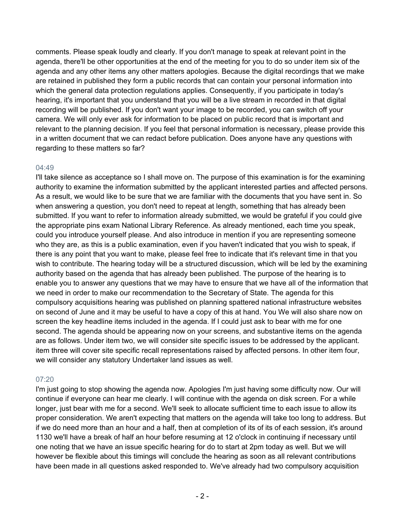comments. Please speak loudly and clearly. If you don't manage to speak at relevant point in the agenda, there'll be other opportunities at the end of the meeting for you to do so under item six of the agenda and any other items any other matters apologies. Because the digital recordings that we make are retained in published they form a public records that can contain your personal information into which the general data protection regulations applies. Consequently, if you participate in today's hearing, it's important that you understand that you will be a live stream in recorded in that digital recording will be published. If you don't want your image to be recorded, you can switch off your camera. We will only ever ask for information to be placed on public record that is important and relevant to the planning decision. If you feel that personal information is necessary, please provide this in a written document that we can redact before publication. Does anyone have any questions with regarding to these matters so far?

# 04:49

I'll take silence as acceptance so I shall move on. The purpose of this examination is for the examining authority to examine the information submitted by the applicant interested parties and affected persons. As a result, we would like to be sure that we are familiar with the documents that you have sent in. So when answering a question, you don't need to repeat at length, something that has already been submitted. If you want to refer to information already submitted, we would be grateful if you could give the appropriate pins exam National Library Reference. As already mentioned, each time you speak, could you introduce yourself please. And also introduce in mention if you are representing someone who they are, as this is a public examination, even if you haven't indicated that you wish to speak, if there is any point that you want to make, please feel free to indicate that it's relevant time in that you wish to contribute. The hearing today will be a structured discussion, which will be led by the examining authority based on the agenda that has already been published. The purpose of the hearing is to enable you to answer any questions that we may have to ensure that we have all of the information that we need in order to make our recommendation to the Secretary of State. The agenda for this compulsory acquisitions hearing was published on planning spattered national infrastructure websites on second of June and it may be useful to have a copy of this at hand. You We will also share now on screen the key headline items included in the agenda. If I could just ask to bear with me for one second. The agenda should be appearing now on your screens, and substantive items on the agenda are as follows. Under item two, we will consider site specific issues to be addressed by the applicant. item three will cover site specific recall representations raised by affected persons. In other item four, we will consider any statutory Undertaker land issues as well.

#### 07:20

I'm just going to stop showing the agenda now. Apologies I'm just having some difficulty now. Our will continue if everyone can hear me clearly. I will continue with the agenda on disk screen. For a while longer, just bear with me for a second. We'll seek to allocate sufficient time to each issue to allow its proper consideration. We aren't expecting that matters on the agenda will take too long to address. But if we do need more than an hour and a half, then at completion of its of its of each session, it's around 1130 we'll have a break of half an hour before resuming at 12 o'clock in continuing if necessary until one noting that we have an issue specific hearing for do to start at 2pm today as well. But we will however be flexible about this timings will conclude the hearing as soon as all relevant contributions have been made in all questions asked responded to. We've already had two compulsory acquisition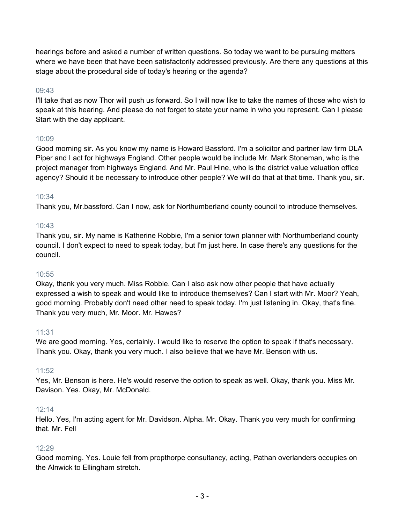hearings before and asked a number of written questions. So today we want to be pursuing matters where we have been that have been satisfactorily addressed previously. Are there any questions at this stage about the procedural side of today's hearing or the agenda?

## 09:43

I'll take that as now Thor will push us forward. So I will now like to take the names of those who wish to speak at this hearing. And please do not forget to state your name in who you represent. Can I please Start with the day applicant.

## 10:09

Good morning sir. As you know my name is Howard Bassford. I'm a solicitor and partner law firm DLA Piper and I act for highways England. Other people would be include Mr. Mark Stoneman, who is the project manager from highways England. And Mr. Paul Hine, who is the district value valuation office agency? Should it be necessary to introduce other people? We will do that at that time. Thank you, sir.

## 10:34

Thank you, Mr.bassford. Can I now, ask for Northumberland county council to introduce themselves.

## $10.43$

Thank you, sir. My name is Katherine Robbie, I'm a senior town planner with Northumberland county council. I don't expect to need to speak today, but I'm just here. In case there's any questions for the council.

#### 10:55

Okay, thank you very much. Miss Robbie. Can I also ask now other people that have actually expressed a wish to speak and would like to introduce themselves? Can I start with Mr. Moor? Yeah, good morning. Probably don't need other need to speak today. I'm just listening in. Okay, that's fine. Thank you very much, Mr. Moor. Mr. Hawes?

#### 11:31

We are good morning. Yes, certainly. I would like to reserve the option to speak if that's necessary. Thank you. Okay, thank you very much. I also believe that we have Mr. Benson with us.

#### 11:52

Yes, Mr. Benson is here. He's would reserve the option to speak as well. Okay, thank you. Miss Mr. Davison. Yes. Okay, Mr. McDonald.

#### $12.14$

Hello. Yes, I'm acting agent for Mr. Davidson. Alpha. Mr. Okay. Thank you very much for confirming that. Mr. Fell

# 12:29

Good morning. Yes. Louie fell from propthorpe consultancy, acting, Pathan overlanders occupies on the Alnwick to Ellingham stretch.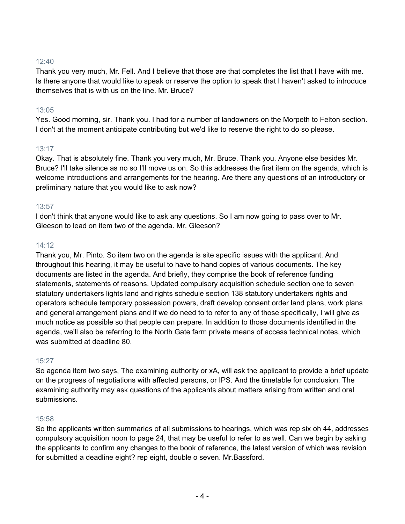Thank you very much, Mr. Fell. And I believe that those are that completes the list that I have with me. Is there anyone that would like to speak or reserve the option to speak that I haven't asked to introduce themselves that is with us on the line. Mr. Bruce?

# 13:05

Yes. Good morning, sir. Thank you. I had for a number of landowners on the Morpeth to Felton section. I don't at the moment anticipate contributing but we'd like to reserve the right to do so please.

# 13:17

Okay. That is absolutely fine. Thank you very much, Mr. Bruce. Thank you. Anyone else besides Mr. Bruce? I'll take silence as no so I'll move us on. So this addresses the first item on the agenda, which is welcome introductions and arrangements for the hearing. Are there any questions of an introductory or preliminary nature that you would like to ask now?

# 13:57

I don't think that anyone would like to ask any questions. So I am now going to pass over to Mr. Gleeson to lead on item two of the agenda. Mr. Gleeson?

# 14:12

Thank you, Mr. Pinto. So item two on the agenda is site specific issues with the applicant. And throughout this hearing, it may be useful to have to hand copies of various documents. The key documents are listed in the agenda. And briefly, they comprise the book of reference funding statements, statements of reasons. Updated compulsory acquisition schedule section one to seven statutory undertakers lights land and rights schedule section 138 statutory undertakers rights and operators schedule temporary possession powers, draft develop consent order land plans, work plans and general arrangement plans and if we do need to to refer to any of those specifically, I will give as much notice as possible so that people can prepare. In addition to those documents identified in the agenda, we'll also be referring to the North Gate farm private means of access technical notes, which was submitted at deadline 80.

# 15:27

So agenda item two says, The examining authority or xA, will ask the applicant to provide a brief update on the progress of negotiations with affected persons, or IPS. And the timetable for conclusion. The examining authority may ask questions of the applicants about matters arising from written and oral submissions.

# 15:58

So the applicants written summaries of all submissions to hearings, which was rep six oh 44, addresses compulsory acquisition noon to page 24, that may be useful to refer to as well. Can we begin by asking the applicants to confirm any changes to the book of reference, the latest version of which was revision for submitted a deadline eight? rep eight, double o seven. Mr.Bassford.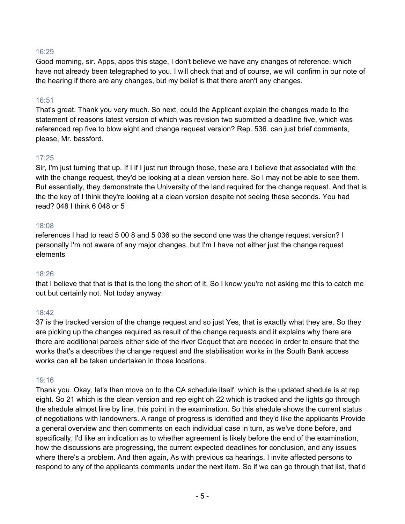Good morning, sir. Apps, apps this stage, I don't believe we have any changes of reference, which have not already been telegraphed to you. I will check that and of course, we will confirm in our note of the hearing if there are any changes, but my belief is that there aren't any changes.

## 16:51

That's great. Thank you very much. So next, could the Applicant explain the changes made to the statement of reasons latest version of which was revision two submitted a deadline five, which was referenced rep five to blow eight and change request version? Rep. 536. can just brief comments, please, Mr. bassford.

## 17:25

Sir, I'm just turning that up. If I if I just run through those, these are I believe that associated with the with the change request, they'd be looking at a clean version here. So I may not be able to see them. But essentially, they demonstrate the University of the land required for the change request. And that is the the key of I think they're looking at a clean version despite not seeing these seconds. You had read? 048 I think 6 048 or 5

#### 18:08

references I had to read 5 00 8 and 5 036 so the second one was the change request version? I personally I'm not aware of any major changes, but I'm I have not either just the change request elements

#### 18:26

that I believe that that is that is the long the short of it. So I know you're not asking me this to catch me out but certainly not. Not today anyway.

# 18:42

37 is the tracked version of the change request and so just Yes, that is exactly what they are. So they are picking up the changes required as result of the change requests and it explains why there are there are additional parcels either side of the river Coquet that are needed in order to ensure that the works that's a describes the change request and the stabilisation works in the South Bank access works can all be taken undertaken in those locations.

#### 19:16

Thank you. Okay, let's then move on to the CA schedule itself, which is the updated shedule is at rep eight. So 21 which is the clean version and rep eight oh 22 which is tracked and the lights go through the shedule almost line by line, this point in the examination. So this shedule shows the current status of negotiations with landowners. A range of progress is identified and they'd like the applicants Provide a general overview and then comments on each individual case in turn, as we've done before, and specifically, I'd like an indication as to whether agreement is likely before the end of the examination, how the discussions are progressing, the current expected deadlines for conclusion, and any issues where there's a problem. And then again, As with previous ca hearings, I invite affected persons to respond to any of the applicants comments under the next item. So if we can go through that list, that'd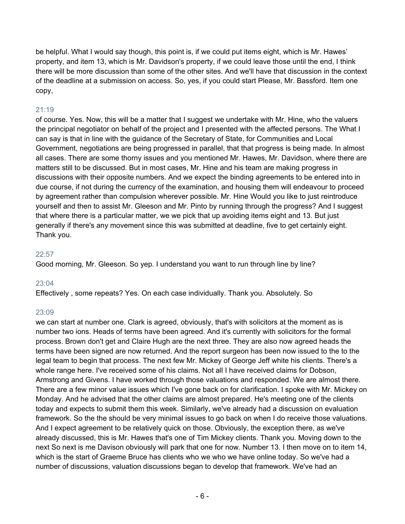be helpful. What I would say though, this point is, if we could put items eight, which is Mr. Hawes' property, and item 13, which is Mr. Davidson's property, if we could leave those until the end, I think there will be more discussion than some of the other sites. And we'll have that discussion in the context of the deadline at a submission on access. So, yes, if you could start Please, Mr. Bassford. Item one copy,

# 21:19

of course. Yes. Now, this will be a matter that I suggest we undertake with Mr. Hine, who the valuers the principal negotiator on behalf of the project and I presented with the affected persons. The What I can say is that in line with the guidance of the Secretary of State, for Communities and Local Government, negotiations are being progressed in parallel, that that progress is being made. In almost all cases. There are some thorny issues and you mentioned Mr. Hawes, Mr. Davidson, where there are matters still to be discussed. But in most cases, Mr. Hine and his team are making progress in discussions with their opposite numbers. And we expect the binding agreements to be entered into in due course, if not during the currency of the examination, and housing them will endeavour to proceed by agreement rather than compulsion wherever possible. Mr. Hine Would you like to just reintroduce yourself and then to assist Mr. Gleeson and Mr. Pinto by running through the progress? And I suggest that where there is a particular matter, we we pick that up avoiding items eight and 13. But just generally if there's any movement since this was submitted at deadline, five to get certainly eight. Thank you.

# 22:57

Good morning, Mr. Gleeson. So yep. I understand you want to run through line by line?

# 23:04

Effectively , some repeats? Yes. On each case individually. Thank you. Absolutely. So

# 23:09

we can start at number one. Clark is agreed, obviously, that's with solicitors at the moment as is number two ions. Heads of terms have been agreed. And it's currently with solicitors for the formal process. Brown don't get and Claire Hugh are the next three. They are also now agreed heads the terms have been signed are now returned. And the report surgeon has been now issued to the to the legal team to begin that process. The next few Mr. Mickey of George Jeff white his clients. There's a whole range here. I've received some of his claims. Not all I have received claims for Dobson, Armstrong and Givens. I have worked through those valuations and responded. We are almost there. There are a few minor value issues which I've gone back on for clarification. I spoke with Mr. Mickey on Monday. And he advised that the other claims are almost prepared. He's meeting one of the clients today and expects to submit them this week. Similarly, we've already had a discussion on evaluation framework. So the the should be very minimal issues to go back on when I do receive those valuations. And I expect agreement to be relatively quick on those. Obviously, the exception there, as we've already discussed, this is Mr. Hawes that's one of Tim Mickey clients. Thank you. Moving down to the next So next is me Davison obviously will park that one for now. Number 13. I then move on to item 14, which is the start of Graeme Bruce has clients who we who we have online today. So we've had a number of discussions, valuation discussions began to develop that framework. We've had an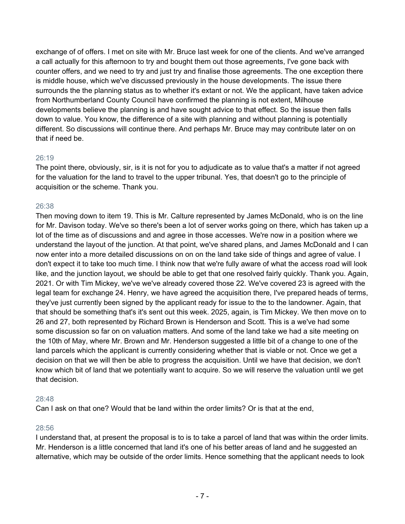exchange of of offers. I met on site with Mr. Bruce last week for one of the clients. And we've arranged a call actually for this afternoon to try and bought them out those agreements, I've gone back with counter offers, and we need to try and just try and finalise those agreements. The one exception there is middle house, which we've discussed previously in the house developments. The issue there surrounds the the planning status as to whether it's extant or not. We the applicant, have taken advice from Northumberland County Council have confirmed the planning is not extent, Milhouse developments believe the planning is and have sought advice to that effect. So the issue then falls down to value. You know, the difference of a site with planning and without planning is potentially different. So discussions will continue there. And perhaps Mr. Bruce may may contribute later on on that if need be.

#### 26:19

The point there, obviously, sir, is it is not for you to adjudicate as to value that's a matter if not agreed for the valuation for the land to travel to the upper tribunal. Yes, that doesn't go to the principle of acquisition or the scheme. Thank you.

#### 26:38

Then moving down to item 19. This is Mr. Calture represented by James McDonald, who is on the line for Mr. Davison today. We've so there's been a lot of server works going on there, which has taken up a lot of the time as of discussions and and agree in those accesses. We're now in a position where we understand the layout of the junction. At that point, we've shared plans, and James McDonald and I can now enter into a more detailed discussions on on on the land take side of things and agree of value. I don't expect it to take too much time. I think now that we're fully aware of what the access road will look like, and the junction layout, we should be able to get that one resolved fairly quickly. Thank you. Again, 2021. Or with Tim Mickey, we've we've already covered those 22. We've covered 23 is agreed with the legal team for exchange 24. Henry, we have agreed the acquisition there, I've prepared heads of terms, they've just currently been signed by the applicant ready for issue to the to the landowner. Again, that that should be something that's it's sent out this week. 2025, again, is Tim Mickey. We then move on to 26 and 27, both represented by Richard Brown is Henderson and Scott. This is a we've had some some discussion so far on on valuation matters. And some of the land take we had a site meeting on the 10th of May, where Mr. Brown and Mr. Henderson suggested a little bit of a change to one of the land parcels which the applicant is currently considering whether that is viable or not. Once we get a decision on that we will then be able to progress the acquisition. Until we have that decision, we don't know which bit of land that we potentially want to acquire. So we will reserve the valuation until we get that decision.

#### 28:48

Can I ask on that one? Would that be land within the order limits? Or is that at the end,

#### 28:56

I understand that, at present the proposal is to is to take a parcel of land that was within the order limits. Mr. Henderson is a little concerned that land it's one of his better areas of land and he suggested an alternative, which may be outside of the order limits. Hence something that the applicant needs to look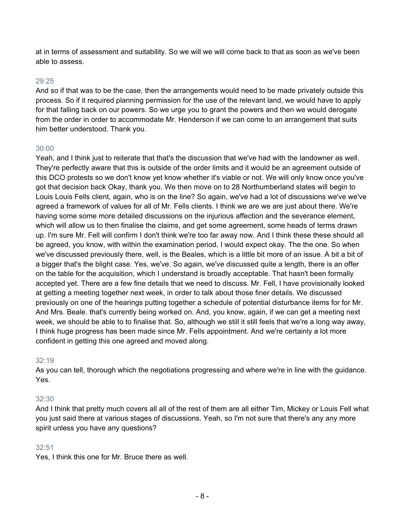at in terms of assessment and suitability. So we will we will come back to that as soon as we've been able to assess.

#### 29:25

And so if that was to be the case, then the arrangements would need to be made privately outside this process. So if it required planning permission for the use of the relevant land, we would have to apply for that falling back on our powers. So we urge you to grant the powers and then we would derogate from the order in order to accommodate Mr. Henderson if we can come to an arrangement that suits him better understood. Thank you.

#### 30:00

Yeah, and I think just to reiterate that that's the discussion that we've had with the landowner as well. They're perfectly aware that this is outside of the order limits and it would be an agreement outside of this DCO protests so we don't know yet know whether it's viable or not. We will only know once you've got that decision back Okay, thank you. We then move on to 28 Northumberland states will begin to Louis Louis Fells client, again, who is on the line? So again, we've had a lot of discussions we've we've agreed a framework of values for all of Mr. Fells clients. I think we are we are just about there. We're having some some more detailed discussions on the injurious affection and the severance element, which will allow us to then finalise the claims, and get some agreement, some heads of terms drawn up. I'm sure Mr. Fell will confirm I don't think we're too far away now. And I think these these should all be agreed, you know, with within the examination period, I would expect okay. The the one. So when we've discussed previously there, well, is the Beales, which is a little bit more of an issue. A bit a bit of a bigger that's the blight case. Yes, we've. So again, we've discussed quite a length, there is an offer on the table for the acquisition, which I understand is broadly acceptable. That hasn't been formally accepted yet. There are a few fine details that we need to discuss. Mr. Fell, I have provisionally looked at getting a meeting together next week, in order to talk about those finer details. We discussed previously on one of the hearings putting together a schedule of potential disturbance items for for Mr. And Mrs. Beale. that's currently being worked on. And, you know, again, if we can get a meeting next week, we should be able to to finalise that. So, although we still it still feels that we're a long way away, I think huge progress has been made since Mr. Fells appointment. And we're certainly a lot more confident in getting this one agreed and moved along.

#### 32:19

As you can tell, thorough which the negotiations progressing and where we're in line with the guidance. Yes.

#### 32:30

And I think that pretty much covers all all of the rest of them are all either Tim, Mickey or Louis Fell what you just said there at various stages of discussions. Yeah, so I'm not sure that there's any any more spirit unless you have any questions?

#### 32:51

Yes, I think this one for Mr. Bruce there as well.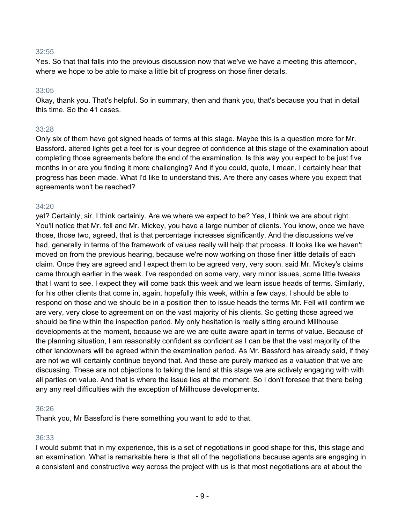Yes. So that that falls into the previous discussion now that we've we have a meeting this afternoon, where we hope to be able to make a little bit of progress on those finer details.

#### 33:05

Okay, thank you. That's helpful. So in summary, then and thank you, that's because you that in detail this time. So the 41 cases.

#### 33:28

Only six of them have got signed heads of terms at this stage. Maybe this is a question more for Mr. Bassford. altered lights get a feel for is your degree of confidence at this stage of the examination about completing those agreements before the end of the examination. Is this way you expect to be just five months in or are you finding it more challenging? And if you could, quote, I mean, I certainly hear that progress has been made. What I'd like to understand this. Are there any cases where you expect that agreements won't be reached?

#### 34:20

yet? Certainly, sir, I think certainly. Are we where we expect to be? Yes, I think we are about right. You'll notice that Mr. fell and Mr. Mickey, you have a large number of clients. You know, once we have those, those two, agreed, that is that percentage increases significantly. And the discussions we've had, generally in terms of the framework of values really will help that process. It looks like we haven't moved on from the previous hearing, because we're now working on those finer little details of each claim. Once they are agreed and I expect them to be agreed very, very soon. said Mr. Mickey's claims came through earlier in the week. I've responded on some very, very minor issues, some little tweaks that I want to see. I expect they will come back this week and we learn issue heads of terms. Similarly, for his other clients that come in, again, hopefully this week, within a few days, I should be able to respond on those and we should be in a position then to issue heads the terms Mr. Fell will confirm we are very, very close to agreement on on the vast majority of his clients. So getting those agreed we should be fine within the inspection period. My only hesitation is really sitting around Millhouse developments at the moment, because we are we are quite aware apart in terms of value. Because of the planning situation, I am reasonably confident as confident as I can be that the vast majority of the other landowners will be agreed within the examination period. As Mr. Bassford has already said, if they are not we will certainly continue beyond that. And these are purely marked as a valuation that we are discussing. These are not objections to taking the land at this stage we are actively engaging with with all parties on value. And that is where the issue lies at the moment. So I don't foresee that there being any any real difficulties with the exception of Millhouse developments.

#### 36:26

Thank you, Mr Bassford is there something you want to add to that.

#### 36:33

I would submit that in my experience, this is a set of negotiations in good shape for this, this stage and an examination. What is remarkable here is that all of the negotiations because agents are engaging in a consistent and constructive way across the project with us is that most negotiations are at about the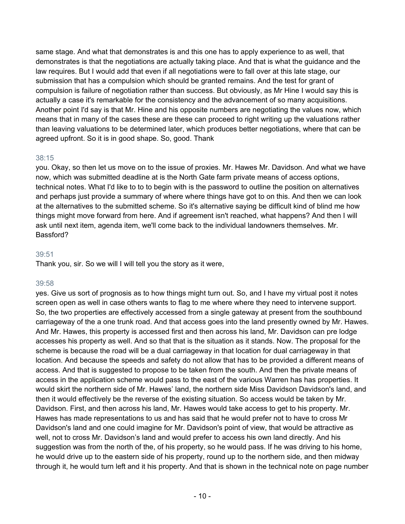same stage. And what that demonstrates is and this one has to apply experience to as well, that demonstrates is that the negotiations are actually taking place. And that is what the guidance and the law requires. But I would add that even if all negotiations were to fall over at this late stage, our submission that has a compulsion which should be granted remains. And the test for grant of compulsion is failure of negotiation rather than success. But obviously, as Mr Hine I would say this is actually a case it's remarkable for the consistency and the advancement of so many acquisitions. Another point I'd say is that Mr. Hine and his opposite numbers are negotiating the values now, which means that in many of the cases these are these can proceed to right writing up the valuations rather than leaving valuations to be determined later, which produces better negotiations, where that can be agreed upfront. So it is in good shape. So, good. Thank

#### 38:15

you. Okay, so then let us move on to the issue of proxies. Mr. Hawes Mr. Davidson. And what we have now, which was submitted deadline at is the North Gate farm private means of access options, technical notes. What I'd like to to to begin with is the password to outline the position on alternatives and perhaps just provide a summary of where where things have got to on this. And then we can look at the alternatives to the submitted scheme. So it's alternative saying be difficult kind of blind me how things might move forward from here. And if agreement isn't reached, what happens? And then I will ask until next item, agenda item, we'll come back to the individual landowners themselves. Mr. Bassford?

#### 39:51

Thank you, sir. So we will I will tell you the story as it were,

#### 39:58

yes. Give us sort of prognosis as to how things might turn out. So, and I have my virtual post it notes screen open as well in case others wants to flag to me where where they need to intervene support. So, the two properties are effectively accessed from a single gateway at present from the southbound carriageway of the a one trunk road. And that access goes into the land presently owned by Mr. Hawes. And Mr. Hawes, this property is accessed first and then across his land, Mr. Davidson can pre lodge accesses his property as well. And so that that is the situation as it stands. Now. The proposal for the scheme is because the road will be a dual carriageway in that location for dual carriageway in that location. And because the speeds and safety do not allow that has to be provided a different means of access. And that is suggested to propose to be taken from the south. And then the private means of access in the application scheme would pass to the east of the various Warren has has properties. It would skirt the northern side of Mr. Hawes' land, the northern side Miss Davidson Davidson's land, and then it would effectively be the reverse of the existing situation. So access would be taken by Mr. Davidson. First, and then across his land, Mr. Hawes would take access to get to his property. Mr. Hawes has made representations to us and has said that he would prefer not to have to cross Mr Davidson's land and one could imagine for Mr. Davidson's point of view, that would be attractive as well, not to cross Mr. Davidson's land and would prefer to access his own land directly. And his suggestion was from the north of the, of his property, so he would pass. If he was driving to his home, he would drive up to the eastern side of his property, round up to the northern side, and then midway through it, he would turn left and it his property. And that is shown in the technical note on page number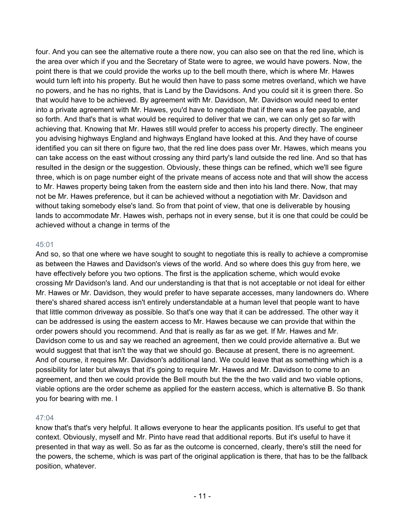four. And you can see the alternative route a there now, you can also see on that the red line, which is the area over which if you and the Secretary of State were to agree, we would have powers. Now, the point there is that we could provide the works up to the bell mouth there, which is where Mr. Hawes would turn left into his property. But he would then have to pass some metres overland, which we have no powers, and he has no rights, that is Land by the Davidsons. And you could sit it is green there. So that would have to be achieved. By agreement with Mr. Davidson, Mr. Davidson would need to enter into a private agreement with Mr. Hawes, you'd have to negotiate that if there was a fee payable, and so forth. And that's that is what would be required to deliver that we can, we can only get so far with achieving that. Knowing that Mr. Hawes still would prefer to access his property directly. The engineer you advising highways England and highways England have looked at this. And they have of course identified you can sit there on figure two, that the red line does pass over Mr. Hawes, which means you can take access on the east without crossing any third party's land outside the red line. And so that has resulted in the design or the suggestion. Obviously, these things can be refined, which we'll see figure three, which is on page number eight of the private means of access note and that will show the access to Mr. Hawes property being taken from the eastern side and then into his land there. Now, that may not be Mr. Hawes preference, but it can be achieved without a negotiation with Mr. Davidson and without taking somebody else's land. So from that point of view, that one is deliverable by housing lands to accommodate Mr. Hawes wish, perhaps not in every sense, but it is one that could be could be achieved without a change in terms of the

#### 45:01

And so, so that one where we have sought to sought to negotiate this is really to achieve a compromise as between the Hawes and Davidson's views of the world. And so where does this guy from here, we have effectively before you two options. The first is the application scheme, which would evoke crossing Mr Davidson's land. And our understanding is that that is not acceptable or not ideal for either Mr. Hawes or Mr. Davidson, they would prefer to have separate accesses, many landowners do. Where there's shared shared access isn't entirely understandable at a human level that people want to have that little common driveway as possible. So that's one way that it can be addressed. The other way it can be addressed is using the eastern access to Mr. Hawes because we can provide that within the order powers should you recommend. And that is really as far as we get. If Mr. Hawes and Mr. Davidson come to us and say we reached an agreement, then we could provide alternative a. But we would suggest that that isn't the way that we should go. Because at present, there is no agreement. And of course, it requires Mr. Davidson's additional land. We could leave that as something which is a possibility for later but always that it's going to require Mr. Hawes and Mr. Davidson to come to an agreement, and then we could provide the Bell mouth but the the the two valid and two viable options, viable options are the order scheme as applied for the eastern access, which is alternative B. So thank you for bearing with me. I

#### 47:04

know that's that's very helpful. It allows everyone to hear the applicants position. It's useful to get that context. Obviously, myself and Mr. Pinto have read that additional reports. But it's useful to have it presented in that way as well. So as far as the outcome is concerned, clearly, there's still the need for the powers, the scheme, which is was part of the original application is there, that has to be the fallback position, whatever.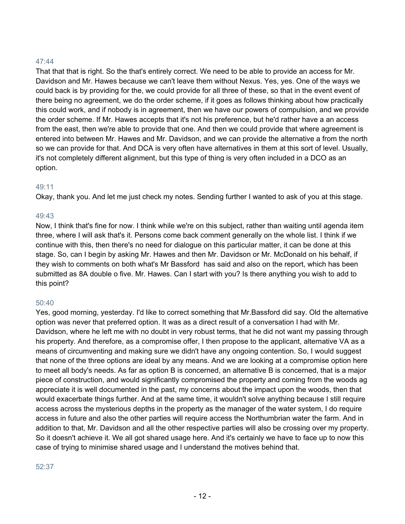That that that is right. So the that's entirely correct. We need to be able to provide an access for Mr. Davidson and Mr. Hawes because we can't leave them without Nexus. Yes, yes. One of the ways we could back is by providing for the, we could provide for all three of these, so that in the event event of there being no agreement, we do the order scheme, if it goes as follows thinking about how practically this could work, and if nobody is in agreement, then we have our powers of compulsion, and we provide the order scheme. If Mr. Hawes accepts that it's not his preference, but he'd rather have a an access from the east, then we're able to provide that one. And then we could provide that where agreement is entered into between Mr. Hawes and Mr. Davidson, and we can provide the alternative a from the north so we can provide for that. And DCA is very often have alternatives in them at this sort of level. Usually, it's not completely different alignment, but this type of thing is very often included in a DCO as an option.

#### 49:11

Okay, thank you. And let me just check my notes. Sending further I wanted to ask of you at this stage.

#### 49:43

Now, I think that's fine for now. I think while we're on this subject, rather than waiting until agenda item three, where I will ask that's it. Persons come back comment generally on the whole list. I think if we continue with this, then there's no need for dialogue on this particular matter, it can be done at this stage. So, can I begin by asking Mr. Hawes and then Mr. Davidson or Mr. McDonald on his behalf, if they wish to comments on both what's Mr Bassford has said and also on the report, which has been submitted as 8A double o five. Mr. Hawes. Can I start with you? Is there anything you wish to add to this point?

#### 50:40

Yes, good morning, yesterday. I'd like to correct something that Mr.Bassford did say. Old the alternative option was never that preferred option. It was as a direct result of a conversation I had with Mr. Davidson, where he left me with no doubt in very robust terms, that he did not want my passing through his property. And therefore, as a compromise offer, I then propose to the applicant, alternative VA as a means of circumventing and making sure we didn't have any ongoing contention. So, I would suggest that none of the three options are ideal by any means. And we are looking at a compromise option here to meet all body's needs. As far as option B is concerned, an alternative B is concerned, that is a major piece of construction, and would significantly compromised the property and coming from the woods ag appreciate it is well documented in the past, my concerns about the impact upon the woods, then that would exacerbate things further. And at the same time, it wouldn't solve anything because I still require access across the mysterious depths in the property as the manager of the water system, I do require access in future and also the other parties will require access the Northumbrian water the farm. And in addition to that, Mr. Davidson and all the other respective parties will also be crossing over my property. So it doesn't achieve it. We all got shared usage here. And it's certainly we have to face up to now this case of trying to minimise shared usage and I understand the motives behind that.

#### 52:37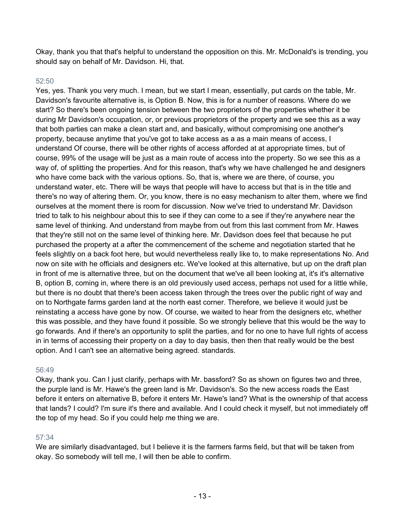Okay, thank you that that's helpful to understand the opposition on this. Mr. McDonald's is trending, you should say on behalf of Mr. Davidson. Hi, that.

## 52:50

Yes, yes. Thank you very much. I mean, but we start I mean, essentially, put cards on the table, Mr. Davidson's favourite alternative is, is Option B. Now, this is for a number of reasons. Where do we start? So there's been ongoing tension between the two proprietors of the properties whether it be during Mr Davidson's occupation, or, or previous proprietors of the property and we see this as a way that both parties can make a clean start and, and basically, without compromising one another's property, because anytime that you've got to take access as a as a main means of access, I understand Of course, there will be other rights of access afforded at at appropriate times, but of course, 99% of the usage will be just as a main route of access into the property. So we see this as a way of, of splitting the properties. And for this reason, that's why we have challenged he and designers who have come back with the various options. So, that is, where we are there, of course, you understand water, etc. There will be ways that people will have to access but that is in the title and there's no way of altering them. Or, you know, there is no easy mechanism to alter them, where we find ourselves at the moment there is room for discussion. Now we've tried to understand Mr. Davidson tried to talk to his neighbour about this to see if they can come to a see if they're anywhere near the same level of thinking. And understand from maybe from out from this last comment from Mr. Hawes that they're still not on the same level of thinking here. Mr. Davidson does feel that because he put purchased the property at a after the commencement of the scheme and negotiation started that he feels slightly on a back foot here, but would nevertheless really like to, to make representations No. And now on site with he officials and designers etc. We've looked at this alternative, but up on the draft plan in front of me is alternative three, but on the document that we've all been looking at, it's it's alternative B, option B, coming in, where there is an old previously used access, perhaps not used for a little while, but there is no doubt that there's been access taken through the trees over the public right of way and on to Northgate farms garden land at the north east corner. Therefore, we believe it would just be reinstating a access have gone by now. Of course, we waited to hear from the designers etc, whether this was possible, and they have found it possible. So we strongly believe that this would be the way to go forwards. And if there's an opportunity to split the parties, and for no one to have full rights of access in in terms of accessing their property on a day to day basis, then then that really would be the best option. And I can't see an alternative being agreed. standards.

#### 56:49

Okay, thank you. Can I just clarify, perhaps with Mr. bassford? So as shown on figures two and three, the purple land is Mr. Hawe's the green land is Mr. Davidson's. So the new access roads the East before it enters on alternative B, before it enters Mr. Hawe's land? What is the ownership of that access that lands? I could? I'm sure it's there and available. And I could check it myself, but not immediately off the top of my head. So if you could help me thing we are.

#### 57:34

We are similarly disadvantaged, but I believe it is the farmers farms field, but that will be taken from okay. So somebody will tell me, I will then be able to confirm.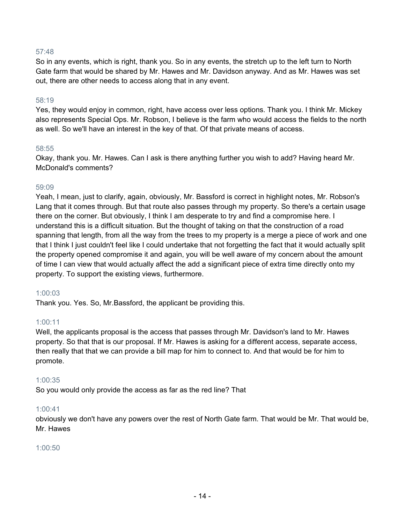So in any events, which is right, thank you. So in any events, the stretch up to the left turn to North Gate farm that would be shared by Mr. Hawes and Mr. Davidson anyway. And as Mr. Hawes was set out, there are other needs to access along that in any event.

#### 58:19

Yes, they would enjoy in common, right, have access over less options. Thank you. I think Mr. Mickey also represents Special Ops. Mr. Robson, I believe is the farm who would access the fields to the north as well. So we'll have an interest in the key of that. Of that private means of access.

#### 58:55

Okay, thank you. Mr. Hawes. Can I ask is there anything further you wish to add? Having heard Mr. McDonald's comments?

#### 59:09

Yeah, I mean, just to clarify, again, obviously, Mr. Bassford is correct in highlight notes, Mr. Robson's Lang that it comes through. But that route also passes through my property. So there's a certain usage there on the corner. But obviously, I think I am desperate to try and find a compromise here. I understand this is a difficult situation. But the thought of taking on that the construction of a road spanning that length, from all the way from the trees to my property is a merge a piece of work and one that I think I just couldn't feel like I could undertake that not forgetting the fact that it would actually split the property opened compromise it and again, you will be well aware of my concern about the amount of time I can view that would actually affect the add a significant piece of extra time directly onto my property. To support the existing views, furthermore.

#### 1:00:03

Thank you. Yes. So, Mr.Bassford, the applicant be providing this.

#### 1:00:11

Well, the applicants proposal is the access that passes through Mr. Davidson's land to Mr. Hawes property. So that that is our proposal. If Mr. Hawes is asking for a different access, separate access, then really that that we can provide a bill map for him to connect to. And that would be for him to promote.

#### 1:00:35

So you would only provide the access as far as the red line? That

#### 1:00:41

obviously we don't have any powers over the rest of North Gate farm. That would be Mr. That would be, Mr. Hawes

#### 1:00:50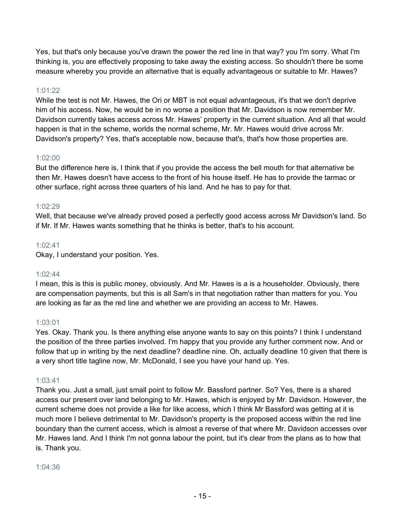Yes, but that's only because you've drawn the power the red line in that way? you I'm sorry. What I'm thinking is, you are effectively proposing to take away the existing access. So shouldn't there be some measure whereby you provide an alternative that is equally advantageous or suitable to Mr. Hawes?

## 1:01:22

While the test is not Mr. Hawes, the Ori or MBT is not equal advantageous, it's that we don't deprive him of his access. Now, he would be in no worse a position that Mr. Davidson is now remember Mr. Davidson currently takes access across Mr. Hawes' property in the current situation. And all that would happen is that in the scheme, worlds the normal scheme, Mr. Mr. Hawes would drive across Mr. Davidson's property? Yes, that's acceptable now, because that's, that's how those properties are.

## 1:02:00

But the difference here is, I think that if you provide the access the bell mouth for that alternative be then Mr. Hawes doesn't have access to the front of his house itself. He has to provide the tarmac or other surface, right across three quarters of his land. And he has to pay for that.

## 1:02:29

Well, that because we've already proved posed a perfectly good access across Mr Davidson's land. So if Mr. If Mr. Hawes wants something that he thinks is better, that's to his account.

## 1:02:41

Okay, I understand your position. Yes.

#### 1:02:44

I mean, this is this is public money, obviously. And Mr. Hawes is a is a householder. Obviously, there are compensation payments, but this is all Sam's in that negotiation rather than matters for you. You are looking as far as the red line and whether we are providing an access to Mr. Hawes.

# 1:03:01

Yes. Okay. Thank you. Is there anything else anyone wants to say on this points? I think I understand the position of the three parties involved. I'm happy that you provide any further comment now. And or follow that up in writing by the next deadline? deadline nine. Oh, actually deadline 10 given that there is a very short title tagline now, Mr. McDonald, I see you have your hand up. Yes.

# 1:03:41

Thank you. Just a small, just small point to follow Mr. Bassford partner. So? Yes, there is a shared access our present over land belonging to Mr. Hawes, which is enjoyed by Mr. Davidson. However, the current scheme does not provide a like for like access, which I think Mr Bassford was getting at it is much more I believe detrimental to Mr. Davidson's property is the proposed access within the red line boundary than the current access, which is almost a reverse of that where Mr. Davidson accesses over Mr. Hawes land. And I think I'm not gonna labour the point, but it's clear from the plans as to how that is. Thank you.

#### 1:04:36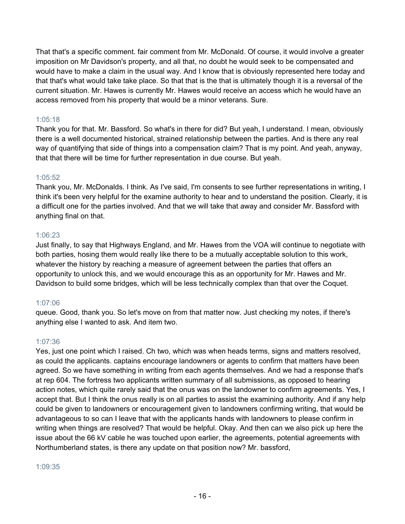That that's a specific comment. fair comment from Mr. McDonald. Of course, it would involve a greater imposition on Mr Davidson's property, and all that, no doubt he would seek to be compensated and would have to make a claim in the usual way. And I know that is obviously represented here today and that that's what would take take place. So that that is the that is ultimately though it is a reversal of the current situation. Mr. Hawes is currently Mr. Hawes would receive an access which he would have an access removed from his property that would be a minor veterans. Sure.

## 1:05:18

Thank you for that. Mr. Bassford. So what's in there for did? But yeah, I understand. I mean, obviously there is a well documented historical, strained relationship between the parties. And is there any real way of quantifying that side of things into a compensation claim? That is my point. And yeah, anyway, that that there will be time for further representation in due course. But yeah.

#### 1:05:52

Thank you, Mr. McDonalds. I think. As I've said, I'm consents to see further representations in writing, I think it's been very helpful for the examine authority to hear and to understand the position. Clearly, it is a difficult one for the parties involved. And that we will take that away and consider Mr. Bassford with anything final on that.

#### 1:06:23

Just finally, to say that Highways England, and Mr. Hawes from the VOA will continue to negotiate with both parties, hosing them would really like there to be a mutually acceptable solution to this work, whatever the history by reaching a measure of agreement between the parties that offers an opportunity to unlock this, and we would encourage this as an opportunity for Mr. Hawes and Mr. Davidson to build some bridges, which will be less technically complex than that over the Coquet.

#### 1:07:06

queue. Good, thank you. So let's move on from that matter now. Just checking my notes, if there's anything else I wanted to ask. And item two.

#### 1:07:36

Yes, just one point which I raised. Ch two, which was when heads terms, signs and matters resolved, as could the applicants. captains encourage landowners or agents to confirm that matters have been agreed. So we have something in writing from each agents themselves. And we had a response that's at rep 604. The fortress two applicants written summary of all submissions, as opposed to hearing action notes, which quite rarely said that the onus was on the landowner to confirm agreements. Yes, I accept that. But I think the onus really is on all parties to assist the examining authority. And if any help could be given to landowners or encouragement given to landowners confirming writing, that would be advantageous to so can I leave that with the applicants hands with landowners to please confirm in writing when things are resolved? That would be helpful. Okay. And then can we also pick up here the issue about the 66 kV cable he was touched upon earlier, the agreements, potential agreements with Northumberland states, is there any update on that position now? Mr. bassford,

1:09:35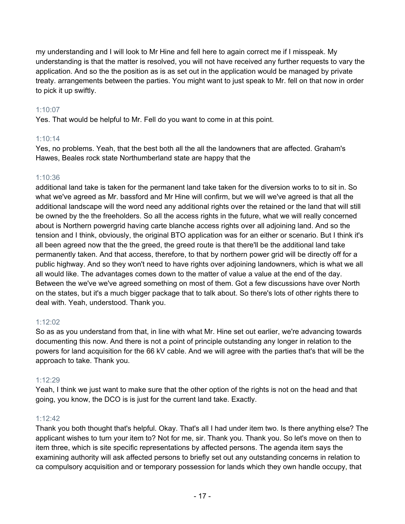my understanding and I will look to Mr Hine and fell here to again correct me if I misspeak. My understanding is that the matter is resolved, you will not have received any further requests to vary the application. And so the the position as is as set out in the application would be managed by private treaty. arrangements between the parties. You might want to just speak to Mr. fell on that now in order to pick it up swiftly.

# 1:10:07

Yes. That would be helpful to Mr. Fell do you want to come in at this point.

# 1:10:14

Yes, no problems. Yeah, that the best both all the all the landowners that are affected. Graham's Hawes, Beales rock state Northumberland state are happy that the

# 1:10:36

additional land take is taken for the permanent land take taken for the diversion works to to sit in. So what we've agreed as Mr. bassford and Mr Hine will confirm, but we will we've agreed is that all the additional landscape will the word need any additional rights over the retained or the land that will still be owned by the the freeholders. So all the access rights in the future, what we will really concerned about is Northern powergrid having carte blanche access rights over all adjoining land. And so the tension and I think, obviously, the original BTO application was for an either or scenario. But I think it's all been agreed now that the the greed, the greed route is that there'll be the additional land take permanently taken. And that access, therefore, to that by northern power grid will be directly off for a public highway. And so they won't need to have rights over adjoining landowners, which is what we all all would like. The advantages comes down to the matter of value a value at the end of the day. Between the we've we've agreed something on most of them. Got a few discussions have over North on the states, but it's a much bigger package that to talk about. So there's lots of other rights there to deal with. Yeah, understood. Thank you.

# 1:12:02

So as as you understand from that, in line with what Mr. Hine set out earlier, we're advancing towards documenting this now. And there is not a point of principle outstanding any longer in relation to the powers for land acquisition for the 66 kV cable. And we will agree with the parties that's that will be the approach to take. Thank you.

# 1:12:29

Yeah, I think we just want to make sure that the other option of the rights is not on the head and that going, you know, the DCO is is just for the current land take. Exactly.

# 1:12:42

Thank you both thought that's helpful. Okay. That's all I had under item two. Is there anything else? The applicant wishes to turn your item to? Not for me, sir. Thank you. Thank you. So let's move on then to item three, which is site specific representations by affected persons. The agenda item says the examining authority will ask affected persons to briefly set out any outstanding concerns in relation to ca compulsory acquisition and or temporary possession for lands which they own handle occupy, that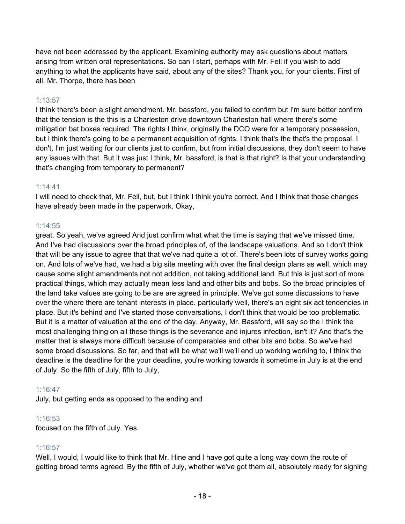have not been addressed by the applicant. Examining authority may ask questions about matters arising from written oral representations. So can I start, perhaps with Mr. Fell if you wish to add anything to what the applicants have said, about any of the sites? Thank you, for your clients. First of all, Mr. Thorpe, there has been

## 1:13:57

I think there's been a slight amendment. Mr. bassford, you failed to confirm but I'm sure better confirm that the tension is the this is a Charleston drive downtown Charleston hall where there's some mitigation bat boxes required. The rights I think, originally the DCO were for a temporary possession, but I think there's going to be a permanent acquisition of rights. I think that's the that's the proposal. I don't, I'm just waiting for our clients just to confirm, but from initial discussions, they don't seem to have any issues with that. But it was just I think, Mr. bassford, is that is that right? Is that your understanding that's changing from temporary to permanent?

#### 1:14:41

I will need to check that, Mr. Fell, but, but I think I think you're correct. And I think that those changes have already been made in the paperwork. Okay,

## 1:14:55

great. So yeah, we've agreed And just confirm what what the time is saying that we've missed time. And I've had discussions over the broad principles of, of the landscape valuations. And so I don't think that will be any issue to agree that that we've had quite a lot of. There's been lots of survey works going on. And lots of we've had, we had a big site meeting with over the final design plans as well, which may cause some slight amendments not not addition, not taking additional land. But this is just sort of more practical things, which may actually mean less land and other bits and bobs. So the broad principles of the land take values are going to be are are agreed in principle. We've got some discussions to have over the where there are tenant interests in place. particularly well, there's an eight six act tendencies in place. But it's behind and I've started those conversations, I don't think that would be too problematic. But it is a matter of valuation at the end of the day. Anyway, Mr. Bassford, will say so the I think the most challenging thing on all these things is the severance and injures infection, isn't it? And that's the matter that is always more difficult because of comparables and other bits and bobs. So we've had some broad discussions. So far, and that will be what we'll we'll end up working working to, I think the deadline is the deadline for the your deadline, you're working towards it sometime in July is at the end of July. So the fifth of July, fifth to July,

# 1:16:47

July, but getting ends as opposed to the ending and

#### 1:16:53

focused on the fifth of July. Yes.

# 1:16:57

Well, I would, I would like to think that Mr. Hine and I have got quite a long way down the route of getting broad terms agreed. By the fifth of July, whether we've got them all, absolutely ready for signing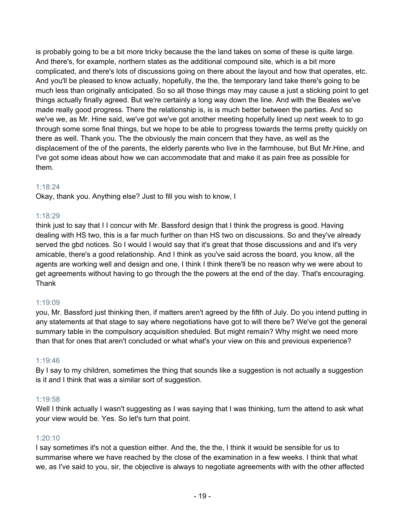is probably going to be a bit more tricky because the the land takes on some of these is quite large. And there's, for example, northern states as the additional compound site, which is a bit more complicated, and there's lots of discussions going on there about the layout and how that operates, etc. And you'll be pleased to know actually, hopefully, the the, the temporary land take there's going to be much less than originally anticipated. So so all those things may may cause a just a sticking point to get things actually finally agreed. But we're certainly a long way down the line. And with the Beales we've made really good progress. There the relationship is, is is much better between the parties. And so we've we, as Mr. Hine said, we've got we've got another meeting hopefully lined up next week to to go through some some final things, but we hope to be able to progress towards the terms pretty quickly on there as well. Thank you. The the obviously the main concern that they have, as well as the displacement of the of the parents, the elderly parents who live in the farmhouse, but But Mr.Hine, and I've got some ideas about how we can accommodate that and make it as pain free as possible for them.

## 1:18:24

Okay, thank you. Anything else? Just to fill you wish to know, I

## 1:18:29

think just to say that I I concur with Mr. Bassford design that I think the progress is good. Having dealing with HS two, this is a far much further on than HS two on discussions. So and they've already served the gbd notices. So I would I would say that it's great that those discussions and and it's very amicable, there's a good relationship. And I think as you've said across the board, you know, all the agents are working well and design and one, I think I think there'll be no reason why we were about to get agreements without having to go through the the powers at the end of the day. That's encouraging. Thank

#### 1:19:09

you, Mr. Bassford just thinking then, if matters aren't agreed by the fifth of July. Do you intend putting in any statements at that stage to say where negotiations have got to will there be? We've got the general summary table in the compulsory acquisition sheduled. But might remain? Why might we need more than that for ones that aren't concluded or what what's your view on this and previous experience?

#### 1:19:46

By I say to my children, sometimes the thing that sounds like a suggestion is not actually a suggestion is it and I think that was a similar sort of suggestion.

# 1:19:58

Well I think actually I wasn't suggesting as I was saying that I was thinking, turn the attend to ask what your view would be. Yes. So let's turn that point.

# 1:20:10

I say sometimes it's not a question either. And the, the the, I think it would be sensible for us to summarise where we have reached by the close of the examination in a few weeks. I think that what we, as I've said to you, sir, the objective is always to negotiate agreements with with the other affected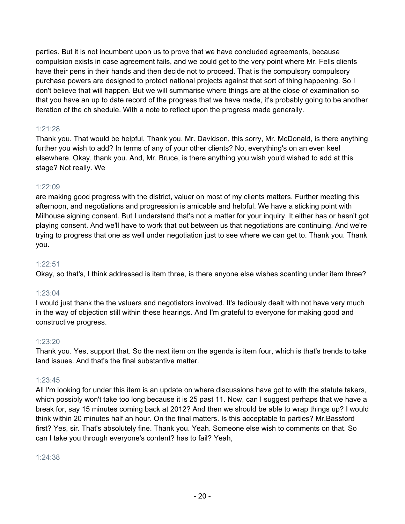parties. But it is not incumbent upon us to prove that we have concluded agreements, because compulsion exists in case agreement fails, and we could get to the very point where Mr. Fells clients have their pens in their hands and then decide not to proceed. That is the compulsory compulsory purchase powers are designed to protect national projects against that sort of thing happening. So I don't believe that will happen. But we will summarise where things are at the close of examination so that you have an up to date record of the progress that we have made, it's probably going to be another iteration of the ch shedule. With a note to reflect upon the progress made generally.

# 1:21:28

Thank you. That would be helpful. Thank you. Mr. Davidson, this sorry, Mr. McDonald, is there anything further you wish to add? In terms of any of your other clients? No, everything's on an even keel elsewhere. Okay, thank you. And, Mr. Bruce, is there anything you wish you'd wished to add at this stage? Not really. We

# 1:22:09

are making good progress with the district, valuer on most of my clients matters. Further meeting this afternoon, and negotiations and progression is amicable and helpful. We have a sticking point with Milhouse signing consent. But I understand that's not a matter for your inquiry. It either has or hasn't got playing consent. And we'll have to work that out between us that negotiations are continuing. And we're trying to progress that one as well under negotiation just to see where we can get to. Thank you. Thank you.

# 1:22:51

Okay, so that's, I think addressed is item three, is there anyone else wishes scenting under item three?

# 1:23:04

I would just thank the the valuers and negotiators involved. It's tediously dealt with not have very much in the way of objection still within these hearings. And I'm grateful to everyone for making good and constructive progress.

# 1:23:20

Thank you. Yes, support that. So the next item on the agenda is item four, which is that's trends to take land issues. And that's the final substantive matter.

# 1:23:45

All I'm looking for under this item is an update on where discussions have got to with the statute takers, which possibly won't take too long because it is 25 past 11. Now, can I suggest perhaps that we have a break for, say 15 minutes coming back at 2012? And then we should be able to wrap things up? I would think within 20 minutes half an hour. On the final matters. Is this acceptable to parties? Mr.Bassford first? Yes, sir. That's absolutely fine. Thank you. Yeah. Someone else wish to comments on that. So can I take you through everyone's content? has to fail? Yeah,

#### 1:24:38